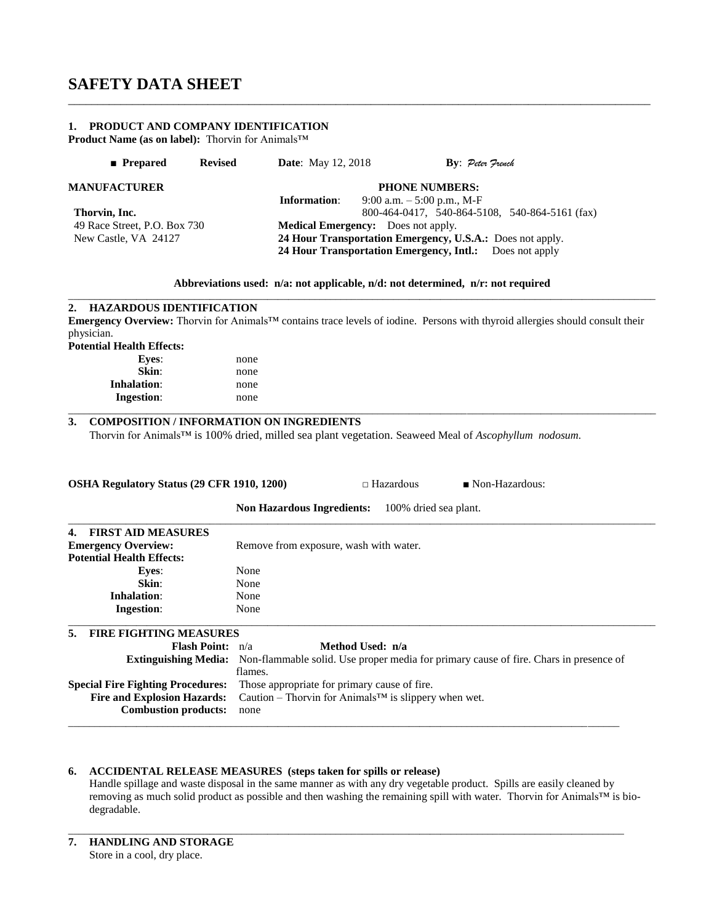#### **1. PRODUCT AND COMPANY IDENTIFICATION**

**Product Name (as on label):** Thorvin for Animals™

| $\blacksquare$ Prepared      | <b>Revised</b> | <b>Date:</b> May 12, 2018                                 |                                                         | By: Peter French |                                                |
|------------------------------|----------------|-----------------------------------------------------------|---------------------------------------------------------|------------------|------------------------------------------------|
| <b>MANUFACTURER</b>          |                | <b>PHONE NUMBERS:</b>                                     |                                                         |                  |                                                |
|                              |                | Information:                                              | 9:00 a.m. $-5:00$ p.m., M-F                             |                  |                                                |
| Thorvin, Inc.                |                |                                                           |                                                         |                  | 800-464-0417, 540-864-5108, 540-864-5161 (fax) |
| 49 Race Street, P.O. Box 730 |                |                                                           | <b>Medical Emergency:</b> Does not apply.               |                  |                                                |
| New Castle, VA 24127         |                | 24 Hour Transportation Emergency, U.S.A.: Does not apply. |                                                         |                  |                                                |
|                              |                |                                                           | 24 Hour Transportation Emergency, Intl.: Does not apply |                  |                                                |

#### **Abbreviations used: n/a: not applicable, n/d: not determined, n/r: not required**

\_\_\_\_\_\_\_\_\_\_\_\_\_\_\_\_\_\_\_\_\_\_\_\_\_\_\_\_\_\_\_\_\_\_\_\_\_\_\_\_\_\_\_\_\_\_\_\_\_\_\_\_\_\_\_\_\_\_\_\_\_\_\_\_\_\_\_\_\_\_\_\_\_\_\_\_\_\_\_\_\_\_\_\_\_\_\_\_\_\_\_\_\_\_\_\_\_\_\_\_

\_\_\_\_\_\_\_\_\_\_\_\_\_\_\_\_\_\_\_\_\_\_\_\_\_\_\_\_\_\_\_\_\_\_\_\_\_\_\_\_\_\_\_\_\_\_\_\_\_\_\_\_\_\_\_\_\_\_\_\_\_\_\_\_\_\_\_\_\_\_\_\_\_\_\_\_\_\_\_\_\_\_\_\_\_\_\_\_\_\_\_\_\_\_\_\_\_\_\_\_\_\_\_\_\_\_\_\_\_\_\_\_ **2. HAZARDOUS IDENTIFICATION Emergency Overview:** Thorvin for Animals™ contains trace levels of iodine. Persons with thyroid allergies should consult their physician. **Potential Health Effects: Eyes**: none

| $\sim$<br>Skin:    | _____<br>none         |  |
|--------------------|-----------------------|--|
| <b>Inhalation:</b> | none                  |  |
| <b>Ingestion:</b>  | none<br>$\sim$ $\sim$ |  |
|                    |                       |  |

### **3. COMPOSITION / INFORMATION ON INGREDIENTS**

Thorvin for Animals™ is 100% dried, milled sea plant vegetation. Seaweed Meal of *Ascophyllum nodosum.*

| OSHA Regulatory Status (29 CFR 1910, 1200) | □ Hazardous | $\blacksquare$ Non-Hazardous: |
|--------------------------------------------|-------------|-------------------------------|

|                                          | <b>Non Hazardous Ingredients:</b><br>100% dried sea plant.                                                        |  |  |
|------------------------------------------|-------------------------------------------------------------------------------------------------------------------|--|--|
| <b>FIRST AID MEASURES</b><br>4.          |                                                                                                                   |  |  |
| <b>Emergency Overview:</b>               | Remove from exposure, wash with water.                                                                            |  |  |
| <b>Potential Health Effects:</b>         |                                                                                                                   |  |  |
| <b>Eves:</b>                             | None                                                                                                              |  |  |
| Skin:                                    | None                                                                                                              |  |  |
| Inhalation:                              | None                                                                                                              |  |  |
| <b>Ingestion:</b>                        | None                                                                                                              |  |  |
| 5.<br><b>FIRE FIGHTING MEASURES</b>      |                                                                                                                   |  |  |
| <b>Flash Point:</b> $n/a$                | Method Used: n/a                                                                                                  |  |  |
|                                          | <b>Extinguishing Media:</b> Non-flammable solid. Use proper media for primary cause of fire. Chars in presence of |  |  |
|                                          | flames.                                                                                                           |  |  |
| <b>Special Fire Fighting Procedures:</b> | Those appropriate for primary cause of fire.                                                                      |  |  |
| <b>Fire and Explosion Hazards:</b>       | Caution – Thorvin for Animals <sup>TM</sup> is slippery when wet.                                                 |  |  |
| <b>Combustion products:</b>              | none                                                                                                              |  |  |

#### **6. ACCIDENTAL RELEASE MEASURES (steps taken for spills or release)**

Handle spillage and waste disposal in the same manner as with any dry vegetable product. Spills are easily cleaned by removing as much solid product as possible and then washing the remaining spill with water. Thorvin for Animals™ is biodegradable.

\_\_\_\_\_\_\_\_\_\_\_\_\_\_\_\_\_\_\_\_\_\_\_\_\_\_\_\_\_\_\_\_\_\_\_\_\_\_\_\_\_\_\_\_\_\_\_\_\_\_\_\_\_\_\_\_\_\_\_\_\_\_\_\_\_\_\_\_\_\_\_\_\_\_\_\_\_\_\_\_\_\_\_\_\_\_\_\_\_\_\_\_\_\_\_\_\_\_\_\_\_\_\_\_\_\_

\_\_\_\_\_\_\_\_\_\_\_\_\_\_\_\_\_\_\_\_\_\_\_\_\_\_\_\_\_\_\_\_\_\_\_\_\_\_\_\_\_\_\_\_\_\_\_\_\_\_\_\_\_\_\_\_\_\_\_\_\_\_\_\_\_\_\_\_\_\_\_\_\_\_\_\_\_\_\_\_\_\_\_\_\_\_\_\_\_\_\_\_\_\_\_\_\_\_\_\_\_\_\_\_\_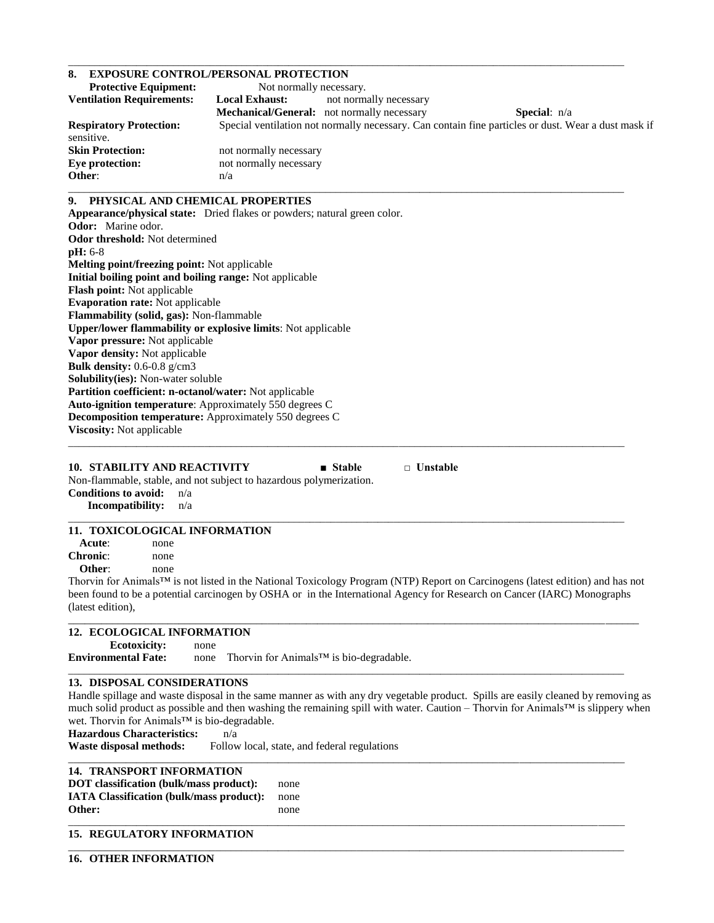#### **8. EXPOSURE CONTROL/PERSONAL PROTECTION**

| <b>Protective Equipment:</b><br>Not normally necessary.<br>not normally necessary<br><b>Local Exhaust:</b><br>Mechanical/General: not normally necessary<br><b>Special:</b> $n/a$<br>Special ventilation not normally necessary. Can contain fine particles or dust. Wear a dust mask if<br>not normally necessary<br>not normally necessary<br>n/a<br>PHYSICAL AND CHEMICAL PROPERTIES<br>Appearance/physical state: Dried flakes or powders; natural green color.<br><b>Odor threshold:</b> Not determined<br>Melting point/freezing point: Not applicable<br>Initial boiling point and boiling range: Not applicable<br>Flash point: Not applicable<br><b>Evaporation rate:</b> Not applicable<br>Flammability (solid, gas): Non-flammable<br>Upper/lower flammability or explosive limits: Not applicable<br>Vapor pressure: Not applicable<br>Vapor density: Not applicable<br>Bulk density: 0.6-0.8 g/cm3<br>Solubility(ies): Non-water soluble<br>Partition coefficient: n-octanol/water: Not applicable<br>Auto-ignition temperature: Approximately 550 degrees C<br><b>Decomposition temperature:</b> Approximately 550 degrees C<br>Viscosity: Not applicable<br>$\Box$ Unstable<br><b>10. STABILITY AND REACTIVITY</b><br>■ Stable<br>Non-flammable, stable, and not subject to hazardous polymerization.<br><b>Conditions to avoid:</b><br>n/a<br>Incompatibility:<br>n/a<br>11. TOXICOLOGICAL INFORMATION<br>Acute:<br>none<br>none<br>Other:<br>none<br>Thorvin for Animals™ is not listed in the National Toxicology Program (NTP) Report on Carcinogens (latest edition) and has not |                                  | <b>EXPOSURE CONTROL/PERSONAL PROTECTION</b>                                                                             |
|------------------------------------------------------------------------------------------------------------------------------------------------------------------------------------------------------------------------------------------------------------------------------------------------------------------------------------------------------------------------------------------------------------------------------------------------------------------------------------------------------------------------------------------------------------------------------------------------------------------------------------------------------------------------------------------------------------------------------------------------------------------------------------------------------------------------------------------------------------------------------------------------------------------------------------------------------------------------------------------------------------------------------------------------------------------------------------------------------------------------------------------------------------------------------------------------------------------------------------------------------------------------------------------------------------------------------------------------------------------------------------------------------------------------------------------------------------------------------------------------------------------------------------------------------------------------------------------------------|----------------------------------|-------------------------------------------------------------------------------------------------------------------------|
|                                                                                                                                                                                                                                                                                                                                                                                                                                                                                                                                                                                                                                                                                                                                                                                                                                                                                                                                                                                                                                                                                                                                                                                                                                                                                                                                                                                                                                                                                                                                                                                                      |                                  |                                                                                                                         |
|                                                                                                                                                                                                                                                                                                                                                                                                                                                                                                                                                                                                                                                                                                                                                                                                                                                                                                                                                                                                                                                                                                                                                                                                                                                                                                                                                                                                                                                                                                                                                                                                      | <b>Ventilation Requirements:</b> |                                                                                                                         |
|                                                                                                                                                                                                                                                                                                                                                                                                                                                                                                                                                                                                                                                                                                                                                                                                                                                                                                                                                                                                                                                                                                                                                                                                                                                                                                                                                                                                                                                                                                                                                                                                      |                                  |                                                                                                                         |
|                                                                                                                                                                                                                                                                                                                                                                                                                                                                                                                                                                                                                                                                                                                                                                                                                                                                                                                                                                                                                                                                                                                                                                                                                                                                                                                                                                                                                                                                                                                                                                                                      | <b>Respiratory Protection:</b>   |                                                                                                                         |
|                                                                                                                                                                                                                                                                                                                                                                                                                                                                                                                                                                                                                                                                                                                                                                                                                                                                                                                                                                                                                                                                                                                                                                                                                                                                                                                                                                                                                                                                                                                                                                                                      | sensitive.                       |                                                                                                                         |
|                                                                                                                                                                                                                                                                                                                                                                                                                                                                                                                                                                                                                                                                                                                                                                                                                                                                                                                                                                                                                                                                                                                                                                                                                                                                                                                                                                                                                                                                                                                                                                                                      | <b>Skin Protection:</b>          |                                                                                                                         |
|                                                                                                                                                                                                                                                                                                                                                                                                                                                                                                                                                                                                                                                                                                                                                                                                                                                                                                                                                                                                                                                                                                                                                                                                                                                                                                                                                                                                                                                                                                                                                                                                      | <b>Eye protection:</b>           |                                                                                                                         |
|                                                                                                                                                                                                                                                                                                                                                                                                                                                                                                                                                                                                                                                                                                                                                                                                                                                                                                                                                                                                                                                                                                                                                                                                                                                                                                                                                                                                                                                                                                                                                                                                      | Other:                           |                                                                                                                         |
|                                                                                                                                                                                                                                                                                                                                                                                                                                                                                                                                                                                                                                                                                                                                                                                                                                                                                                                                                                                                                                                                                                                                                                                                                                                                                                                                                                                                                                                                                                                                                                                                      | 9.                               |                                                                                                                         |
|                                                                                                                                                                                                                                                                                                                                                                                                                                                                                                                                                                                                                                                                                                                                                                                                                                                                                                                                                                                                                                                                                                                                                                                                                                                                                                                                                                                                                                                                                                                                                                                                      |                                  |                                                                                                                         |
|                                                                                                                                                                                                                                                                                                                                                                                                                                                                                                                                                                                                                                                                                                                                                                                                                                                                                                                                                                                                                                                                                                                                                                                                                                                                                                                                                                                                                                                                                                                                                                                                      | <b>Odor:</b> Marine odor.        |                                                                                                                         |
|                                                                                                                                                                                                                                                                                                                                                                                                                                                                                                                                                                                                                                                                                                                                                                                                                                                                                                                                                                                                                                                                                                                                                                                                                                                                                                                                                                                                                                                                                                                                                                                                      |                                  |                                                                                                                         |
|                                                                                                                                                                                                                                                                                                                                                                                                                                                                                                                                                                                                                                                                                                                                                                                                                                                                                                                                                                                                                                                                                                                                                                                                                                                                                                                                                                                                                                                                                                                                                                                                      | $pH: 6-8$                        |                                                                                                                         |
|                                                                                                                                                                                                                                                                                                                                                                                                                                                                                                                                                                                                                                                                                                                                                                                                                                                                                                                                                                                                                                                                                                                                                                                                                                                                                                                                                                                                                                                                                                                                                                                                      |                                  |                                                                                                                         |
|                                                                                                                                                                                                                                                                                                                                                                                                                                                                                                                                                                                                                                                                                                                                                                                                                                                                                                                                                                                                                                                                                                                                                                                                                                                                                                                                                                                                                                                                                                                                                                                                      |                                  |                                                                                                                         |
|                                                                                                                                                                                                                                                                                                                                                                                                                                                                                                                                                                                                                                                                                                                                                                                                                                                                                                                                                                                                                                                                                                                                                                                                                                                                                                                                                                                                                                                                                                                                                                                                      |                                  |                                                                                                                         |
|                                                                                                                                                                                                                                                                                                                                                                                                                                                                                                                                                                                                                                                                                                                                                                                                                                                                                                                                                                                                                                                                                                                                                                                                                                                                                                                                                                                                                                                                                                                                                                                                      |                                  |                                                                                                                         |
|                                                                                                                                                                                                                                                                                                                                                                                                                                                                                                                                                                                                                                                                                                                                                                                                                                                                                                                                                                                                                                                                                                                                                                                                                                                                                                                                                                                                                                                                                                                                                                                                      |                                  |                                                                                                                         |
|                                                                                                                                                                                                                                                                                                                                                                                                                                                                                                                                                                                                                                                                                                                                                                                                                                                                                                                                                                                                                                                                                                                                                                                                                                                                                                                                                                                                                                                                                                                                                                                                      |                                  |                                                                                                                         |
|                                                                                                                                                                                                                                                                                                                                                                                                                                                                                                                                                                                                                                                                                                                                                                                                                                                                                                                                                                                                                                                                                                                                                                                                                                                                                                                                                                                                                                                                                                                                                                                                      |                                  |                                                                                                                         |
|                                                                                                                                                                                                                                                                                                                                                                                                                                                                                                                                                                                                                                                                                                                                                                                                                                                                                                                                                                                                                                                                                                                                                                                                                                                                                                                                                                                                                                                                                                                                                                                                      |                                  |                                                                                                                         |
|                                                                                                                                                                                                                                                                                                                                                                                                                                                                                                                                                                                                                                                                                                                                                                                                                                                                                                                                                                                                                                                                                                                                                                                                                                                                                                                                                                                                                                                                                                                                                                                                      |                                  |                                                                                                                         |
|                                                                                                                                                                                                                                                                                                                                                                                                                                                                                                                                                                                                                                                                                                                                                                                                                                                                                                                                                                                                                                                                                                                                                                                                                                                                                                                                                                                                                                                                                                                                                                                                      |                                  |                                                                                                                         |
|                                                                                                                                                                                                                                                                                                                                                                                                                                                                                                                                                                                                                                                                                                                                                                                                                                                                                                                                                                                                                                                                                                                                                                                                                                                                                                                                                                                                                                                                                                                                                                                                      |                                  |                                                                                                                         |
|                                                                                                                                                                                                                                                                                                                                                                                                                                                                                                                                                                                                                                                                                                                                                                                                                                                                                                                                                                                                                                                                                                                                                                                                                                                                                                                                                                                                                                                                                                                                                                                                      |                                  |                                                                                                                         |
|                                                                                                                                                                                                                                                                                                                                                                                                                                                                                                                                                                                                                                                                                                                                                                                                                                                                                                                                                                                                                                                                                                                                                                                                                                                                                                                                                                                                                                                                                                                                                                                                      |                                  |                                                                                                                         |
|                                                                                                                                                                                                                                                                                                                                                                                                                                                                                                                                                                                                                                                                                                                                                                                                                                                                                                                                                                                                                                                                                                                                                                                                                                                                                                                                                                                                                                                                                                                                                                                                      |                                  |                                                                                                                         |
|                                                                                                                                                                                                                                                                                                                                                                                                                                                                                                                                                                                                                                                                                                                                                                                                                                                                                                                                                                                                                                                                                                                                                                                                                                                                                                                                                                                                                                                                                                                                                                                                      |                                  |                                                                                                                         |
|                                                                                                                                                                                                                                                                                                                                                                                                                                                                                                                                                                                                                                                                                                                                                                                                                                                                                                                                                                                                                                                                                                                                                                                                                                                                                                                                                                                                                                                                                                                                                                                                      |                                  |                                                                                                                         |
|                                                                                                                                                                                                                                                                                                                                                                                                                                                                                                                                                                                                                                                                                                                                                                                                                                                                                                                                                                                                                                                                                                                                                                                                                                                                                                                                                                                                                                                                                                                                                                                                      |                                  |                                                                                                                         |
|                                                                                                                                                                                                                                                                                                                                                                                                                                                                                                                                                                                                                                                                                                                                                                                                                                                                                                                                                                                                                                                                                                                                                                                                                                                                                                                                                                                                                                                                                                                                                                                                      |                                  |                                                                                                                         |
|                                                                                                                                                                                                                                                                                                                                                                                                                                                                                                                                                                                                                                                                                                                                                                                                                                                                                                                                                                                                                                                                                                                                                                                                                                                                                                                                                                                                                                                                                                                                                                                                      |                                  |                                                                                                                         |
|                                                                                                                                                                                                                                                                                                                                                                                                                                                                                                                                                                                                                                                                                                                                                                                                                                                                                                                                                                                                                                                                                                                                                                                                                                                                                                                                                                                                                                                                                                                                                                                                      |                                  |                                                                                                                         |
|                                                                                                                                                                                                                                                                                                                                                                                                                                                                                                                                                                                                                                                                                                                                                                                                                                                                                                                                                                                                                                                                                                                                                                                                                                                                                                                                                                                                                                                                                                                                                                                                      |                                  |                                                                                                                         |
|                                                                                                                                                                                                                                                                                                                                                                                                                                                                                                                                                                                                                                                                                                                                                                                                                                                                                                                                                                                                                                                                                                                                                                                                                                                                                                                                                                                                                                                                                                                                                                                                      |                                  |                                                                                                                         |
|                                                                                                                                                                                                                                                                                                                                                                                                                                                                                                                                                                                                                                                                                                                                                                                                                                                                                                                                                                                                                                                                                                                                                                                                                                                                                                                                                                                                                                                                                                                                                                                                      | <b>Chronic:</b>                  |                                                                                                                         |
|                                                                                                                                                                                                                                                                                                                                                                                                                                                                                                                                                                                                                                                                                                                                                                                                                                                                                                                                                                                                                                                                                                                                                                                                                                                                                                                                                                                                                                                                                                                                                                                                      |                                  |                                                                                                                         |
|                                                                                                                                                                                                                                                                                                                                                                                                                                                                                                                                                                                                                                                                                                                                                                                                                                                                                                                                                                                                                                                                                                                                                                                                                                                                                                                                                                                                                                                                                                                                                                                                      |                                  |                                                                                                                         |
|                                                                                                                                                                                                                                                                                                                                                                                                                                                                                                                                                                                                                                                                                                                                                                                                                                                                                                                                                                                                                                                                                                                                                                                                                                                                                                                                                                                                                                                                                                                                                                                                      |                                  | been found to be a potential carcinogen by OSHA or in the International Agency for Research on Cancer (IARC) Monographs |

\_\_\_\_\_\_\_\_\_\_\_\_\_\_\_\_\_\_\_\_\_\_\_\_\_\_\_\_\_\_\_\_\_\_\_\_\_\_\_\_\_\_\_\_\_\_\_\_\_\_\_\_\_\_\_\_\_\_\_\_\_\_\_\_\_\_\_\_\_\_\_\_\_\_\_\_\_\_\_\_\_\_\_\_\_\_\_\_\_\_\_\_\_\_\_\_\_\_\_\_\_\_\_\_\_\_

(latest edition),

#### **12. ECOLOGICAL INFORMATION**

 **Ecotoxicity:** none

**Environmental Fate:** none Thorvin for Animals™ is bio-degradable.

## **13. DISPOSAL CONSIDERATIONS**

Handle spillage and waste disposal in the same manner as with any dry vegetable product. Spills are easily cleaned by removing as much solid product as possible and then washing the remaining spill with water. Caution – Thorvin for Animals™ is slippery when wet. Thorvin for Animals™ is bio-degradable.

\_\_\_\_\_\_\_\_\_\_\_\_\_\_\_\_\_\_\_\_\_\_\_\_\_\_\_\_\_\_\_\_\_\_\_\_\_\_\_\_\_\_\_\_\_\_\_\_\_\_\_\_\_\_\_\_\_\_\_\_\_\_\_\_\_\_\_\_\_\_\_\_\_\_\_\_\_\_\_\_\_\_\_\_\_\_\_\_\_\_\_\_\_\_\_\_\_\_\_\_\_\_\_

\_\_\_\_\_\_\_\_\_\_\_\_\_\_\_\_\_\_\_\_\_\_\_\_\_\_\_\_\_\_\_\_\_\_\_\_\_\_\_\_\_\_\_\_\_\_\_\_\_\_\_\_\_\_\_\_\_\_\_\_\_\_\_\_\_\_\_\_\_\_\_\_\_\_\_\_\_\_\_\_\_\_\_\_\_\_\_\_\_\_\_\_\_\_\_\_\_\_\_\_\_\_\_\_\_\_

\_\_\_\_\_\_\_\_\_\_\_\_\_\_\_\_\_\_\_\_\_\_\_\_\_\_\_\_\_\_\_\_\_\_\_\_\_\_\_\_\_\_\_\_\_\_\_\_\_\_\_\_\_\_\_\_\_\_\_\_\_\_\_\_\_\_\_\_\_\_\_\_\_\_\_\_\_\_\_\_\_\_\_\_\_\_\_\_\_\_\_\_\_\_\_\_\_\_\_\_\_\_\_\_\_\_

\_\_\_\_\_\_\_\_\_\_\_\_\_\_\_\_\_\_\_\_\_\_\_\_\_\_\_\_\_\_\_\_\_\_\_\_\_\_\_\_\_\_\_\_\_\_\_\_\_\_\_\_\_\_\_\_\_\_\_\_\_\_\_\_\_\_\_\_\_\_\_\_\_\_\_\_\_\_\_\_\_\_\_\_\_\_\_\_\_\_\_\_\_\_\_\_\_\_\_\_\_\_\_\_\_\_

**Hazardous Characteristics:** n/a

Waste disposal methods: Follow local, state, and federal regulations

# **14. TRANSPORT INFORMATION**

| DOT classification (bulk/mass product):              | none |
|------------------------------------------------------|------|
| <b>IATA Classification (bulk/mass product):</b> none |      |
| Other:                                               | none |
|                                                      |      |

## **15. REGULATORY INFORMATION**

**16. OTHER INFORMATION**